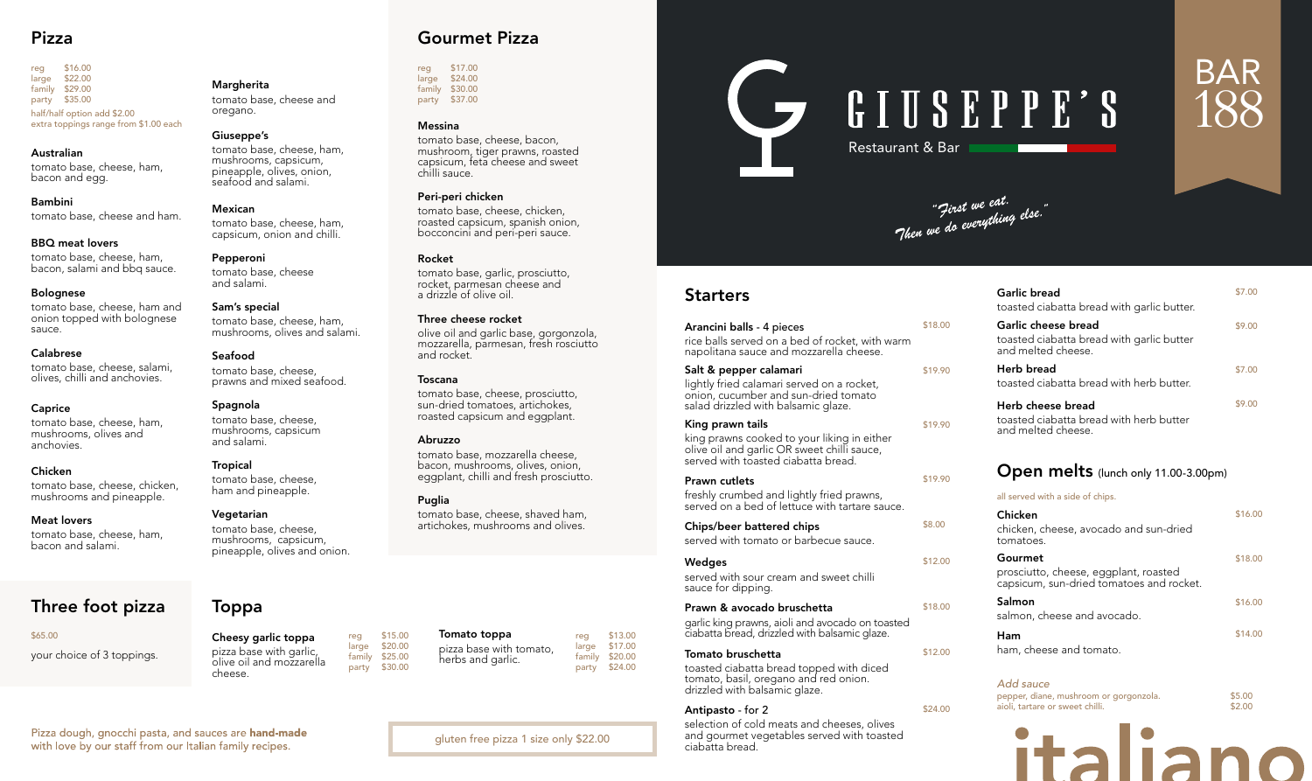| Arancini balls - 4 pieces                                                                                                                             | \$18.00 |
|-------------------------------------------------------------------------------------------------------------------------------------------------------|---------|
| rice balls served on a bed of rocket, with warm<br>napolitana sauce and mozzarella cheese.                                                            |         |
| Salt & pepper calamari<br>lightly fried calamari served on a rocket,<br>onion, cucumber and sun-dried tomato<br>salad drizzled with balsamic glaze.   | \$19.90 |
| King prawn tails<br>king prawns cooked to your liking in either<br>olive oil and garlic OR sweet chilli sauce,<br>served with toasted ciabatta bread. | \$19.90 |
| Prawn cutlets<br>freshly crumbed and lightly fried prawns,<br>served on a bed of lettuce with tartare sauce.                                          | \$19.90 |
| Chips/beer battered chips<br>served with tomato or barbecue sauce.                                                                                    | \$8.00  |
| Wedges<br>served with sour cream and sweet chilli<br>sauce for dipping.                                                                               | \$12.00 |
| Prawn & avocado bruschetta<br>garlic king prawns, aioli and avocado on toasted<br>ciabatta bread, drizzled with balsamic glaze.                       | \$18.00 |
| Tomato bruschetta<br>toasted ciabatta bread topped with diced<br>tomato, basil, oregano and red onion.<br>drizzled with balsamic glaze.               | \$12.00 |
| <b>Antipasto</b> - for 2                                                                                                                              | \$24.00 |

reg \$16.00<br>large \$22.00  $$22.00$ family \$29.00 party \$35.00 half/half option add \$2.00 extra toppings range from \$1.00 each

> selection of cold meats and cheeses, olives and gourmet vegetables served with toasted ciabatta bread.

Pizza dough, gnocchi pasta, and sauces are hand-made with love by our staff from our Italian family recipes.

#### *Add sauce*

| pepper, diane, mushroom or gorgonzola. | \$5.00 |
|----------------------------------------|--------|
| aioli, tartare or sweet chilli.        | \$2.00 |



reg \$17.00<br>large \$24.00  $$24.00$ family \$30.00 party \$37.00

| Garlic bread<br>toasted ciabatta bread with garlic butter.                                   | \$7.00  |
|----------------------------------------------------------------------------------------------|---------|
| Garlic cheese bread<br>toasted ciabatta bread with garlic butter<br>and melted cheese.       | \$9.00  |
| Herb bread<br>toasted ciabatta bread with herb butter.                                       | \$7.00  |
| Herb cheese bread<br>toasted ciabatta bread with herb butter<br>and melted cheese.           | \$9.00  |
| Open melts (lunch only 11.00-3.00pm)                                                         |         |
| all served with a side of chips.                                                             |         |
| Chicken<br>chicken, cheese, avocado and sun-dried<br>tomatoes.                               | \$16.00 |
| Gourmet<br>prosciutto, cheese, eggplant, roasted<br>capsicum, sun-dried tomatoes and rocket. | \$18.00 |
| Salmon<br>salmon, cheese and avocado.                                                        | \$16.00 |
| Ham<br>ham, cheese and tomato.                                                               | \$14.00 |

Restaurant & Bar

"First we eat.<br>"Then we do everything else."

# **Starters**

# BAR 188

reg \$15.00<br>large \$20.00  $$20.00$ family \$25.00

# Pizza

#### Australian

tomato base, cheese, ham, bacon and egg.

Bambini tomato base, cheese and ham.

#### BBQ meat lovers

tomato base, cheese, ham, bacon, salami and bbq sauce.

> reg \$13.00<br>large \$17.00  $$17.00$ family \$20.00 party \$24.00

# C GIUSEPPE'S

#### Bolognese

tomato base, cheese, ham and onion topped with bolognese sauce.

#### Calabrese

tomato base, cheese, salami, olives, chilli and anchovies.

#### Caprice

tomato base, cheese, ham, mushrooms, olives and anchovies.

#### Chicken

tomato base, cheese, chicken, mushrooms and pineapple.

## Meat lovers

tomato base, cheese, ham, bacon and salami.

# Gourmet Pizza

#### Messina

tomato base, cheese, bacon, mushroom, tiger prawns, roasted capsicum, feta cheese and sweet chilli sauce.

#### Peri-peri chicken

tomato base, cheese, chicken, roasted capsicum, spanish onion, bocconcini and peri-peri sauce.

#### Rocket

tomato base, garlic, prosciutto, rocket, parmesan cheese and a drizzle of olive oil.

#### Three cheese rocket

olive oil and garlic base, gorgonzola, mozzarella, parmesan, fresh rosciutto and rocket.

#### Toscana

tomato base, cheese, prosciutto, sun-dried tomatoes, artichokes, roasted capsicum and eggplant.

#### Abruzzo

tomato base, mozzarella cheese, bacon, mushrooms, olives, onion, eggplant, chilli and fresh prosciutto.

#### Puglia

tomato base, cheese, shaved ham, artichokes, mushrooms and olives.

# Toppa

Cheesy garlic toppa pizza base with garlic, olive oil and mozzarella cheese.

party \$30.00

# Three foot pizza

#### \$65.00

your choice of 3 toppings.

gluten free pizza 1 size only \$22.00

#### Margherita

tomato base, cheese and oregano.

#### Giuseppe's

tomato base, cheese, ham, mushrooms, capsicum, pineapple, olives, onion, seafood and salami.

Mexican tomato base, cheese, ham, capsicum, onion and chilli.

Pepperoni tomato base, cheese and salami.

#### Sam's special tomato base, cheese, ham, mushrooms, olives and salami.

Seafood

tomato base, cheese, prawns and mixed seafood.

#### Spagnola

tomato base, cheese, mushrooms, capsicum and salami.

#### Tropical

tomato base, cheese, ham and pineapple.

#### Vegetarian

tomato base, cheese, mushrooms, capsicum, pineapple, olives and onion.

> Tomato toppa pizza base with tomato, herbs and garlic.